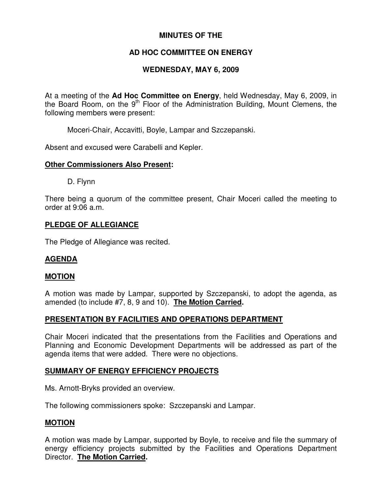## **MINUTES OF THE**

## **AD HOC COMMITTEE ON ENERGY**

## **WEDNESDAY, MAY 6, 2009**

At a meeting of the **Ad Hoc Committee on Energy**, held Wednesday, May 6, 2009, in the Board Room, on the 9<sup>th</sup> Floor of the Administration Building, Mount Clemens, the following members were present:

Moceri-Chair, Accavitti, Boyle, Lampar and Szczepanski.

Absent and excused were Carabelli and Kepler.

### **Other Commissioners Also Present:**

D. Flynn

There being a quorum of the committee present, Chair Moceri called the meeting to order at 9:06 a.m.

### **PLEDGE OF ALLEGIANCE**

The Pledge of Allegiance was recited.

## **AGENDA**

#### **MOTION**

A motion was made by Lampar, supported by Szczepanski, to adopt the agenda, as amended (to include #7, 8, 9 and 10). **The Motion Carried.**

## **PRESENTATION BY FACILITIES AND OPERATIONS DEPARTMENT**

Chair Moceri indicated that the presentations from the Facilities and Operations and Planning and Economic Development Departments will be addressed as part of the agenda items that were added. There were no objections.

#### **SUMMARY OF ENERGY EFFICIENCY PROJECTS**

Ms. Arnott-Bryks provided an overview.

The following commissioners spoke: Szczepanski and Lampar.

#### **MOTION**

A motion was made by Lampar, supported by Boyle, to receive and file the summary of energy efficiency projects submitted by the Facilities and Operations Department Director. **The Motion Carried.**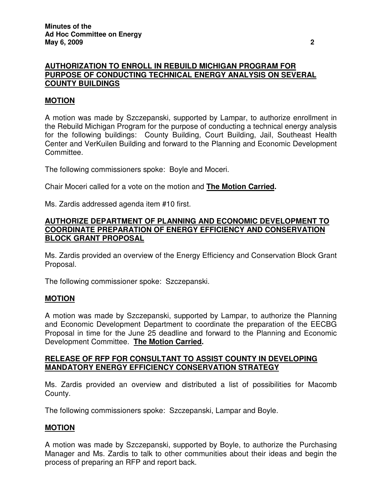## **AUTHORIZATION TO ENROLL IN REBUILD MICHIGAN PROGRAM FOR PURPOSE OF CONDUCTING TECHNICAL ENERGY ANALYSIS ON SEVERAL COUNTY BUILDINGS**

## **MOTION**

A motion was made by Szczepanski, supported by Lampar, to authorize enrollment in the Rebuild Michigan Program for the purpose of conducting a technical energy analysis for the following buildings: County Building, Court Building, Jail, Southeast Health Center and VerKuilen Building and forward to the Planning and Economic Development Committee.

The following commissioners spoke: Boyle and Moceri.

Chair Moceri called for a vote on the motion and **The Motion Carried.**

Ms. Zardis addressed agenda item #10 first.

## **AUTHORIZE DEPARTMENT OF PLANNING AND ECONOMIC DEVELOPMENT TO COORDINATE PREPARATION OF ENERGY EFFICIENCY AND CONSERVATION BLOCK GRANT PROPOSAL**

Ms. Zardis provided an overview of the Energy Efficiency and Conservation Block Grant Proposal.

The following commissioner spoke: Szczepanski.

## **MOTION**

A motion was made by Szczepanski, supported by Lampar, to authorize the Planning and Economic Development Department to coordinate the preparation of the EECBG Proposal in time for the June 25 deadline and forward to the Planning and Economic Development Committee. **The Motion Carried.**

### **RELEASE OF RFP FOR CONSULTANT TO ASSIST COUNTY IN DEVELOPING MANDATORY ENERGY EFFICIENCY CONSERVATION STRATEGY**

Ms. Zardis provided an overview and distributed a list of possibilities for Macomb County.

The following commissioners spoke: Szczepanski, Lampar and Boyle.

#### **MOTION**

A motion was made by Szczepanski, supported by Boyle, to authorize the Purchasing Manager and Ms. Zardis to talk to other communities about their ideas and begin the process of preparing an RFP and report back.